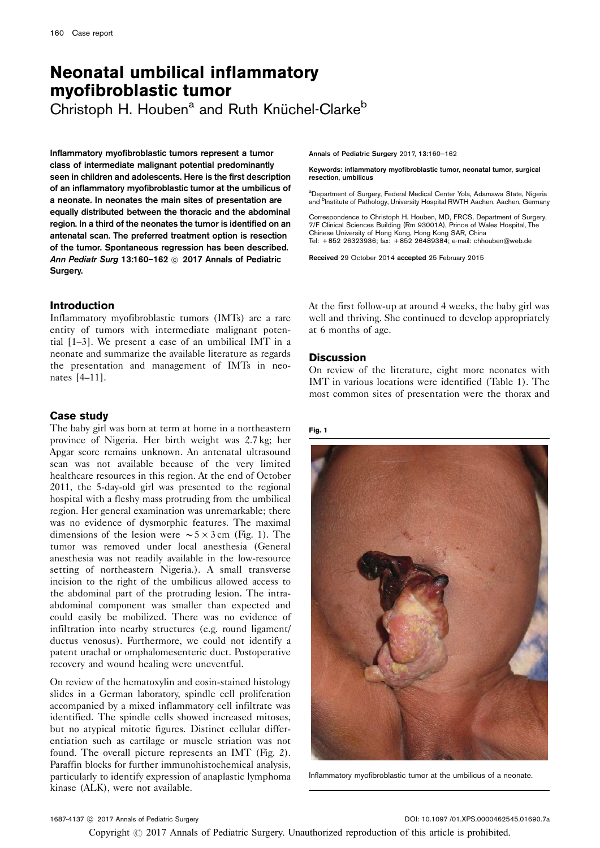# Neonatal umbilical inflammatory myofibroblastic tumor

Christoph H. Houben<sup>a</sup> and Ruth Knüchel-Clarke<sup>b</sup>

Inflammatory myofibroblastic tumors represent a tumor class of intermediate malignant potential predominantly seen in children and adolescents. Here is the first description of an inflammatory myofibroblastic tumor at the umbilicus of a neonate. In neonates the main sites of presentation are equally distributed between the thoracic and the abdominal region. In a third of the neonates the tumor is identified on an antenatal scan. The preferred treatment option is resection of the tumor. Spontaneous regression has been described. Ann Pediatr Surg 13:160-162  $\odot$  2017 Annals of Pediatric Surgery.

## Introduction

Inflammatory myofibroblastic tumors (IMTs) are a rare entity of tumors with intermediate malignant potential [\[1–3](#page-2-0)]. We present a case of an umbilical IMT in a neonate and summarize the available literature as regards the presentation and management of IMTs in neonates [\[4–11\]](#page-2-0).

## Case study

The baby girl was born at term at home in a northeastern province of Nigeria. Her birth weight was 2.7 kg; her Apgar score remains unknown. An antenatal ultrasound scan was not available because of the very limited healthcare resources in this region. At the end of October 2011, the 5-day-old girl was presented to the regional hospital with a fleshy mass protruding from the umbilical region. Her general examination was unremarkable; there was no evidence of dysmorphic features. The maximal dimensions of the lesion were  $\sim 5 \times 3$  cm (Fig. 1). The tumor was removed under local anesthesia (General anesthesia was not readily available in the low-resource setting of northeastern Nigeria.). A small transverse incision to the right of the umbilicus allowed access to the abdominal part of the protruding lesion. The intraabdominal component was smaller than expected and could easily be mobilized. There was no evidence of infiltration into nearby structures (e.g. round ligament/ ductus venosus). Furthermore, we could not identify a patent urachal or omphalomesenteric duct. Postoperative recovery and wound healing were uneventful.

On review of the hematoxylin and eosin-stained histology slides in a German laboratory, spindle cell proliferation accompanied by a mixed inflammatory cell infiltrate was identified. The spindle cells showed increased mitoses, but no atypical mitotic figures. Distinct cellular differentiation such as cartilage or muscle striation was not found. The overall picture represents an IMT ([Fig. 2](#page-1-0)). Paraffin blocks for further immunohistochemical analysis, particularly to identify expression of anaplastic lymphoma kinase (ALK), were not available.

Annals of Pediatric Surgery 2017, 13:160–162

Keywords: inflammatory myofibroblastic tumor, neonatal tumor, surgical resection, umbilicus

<sup>a</sup>Department of Surgery, Federal Medical Center Yola, Adamawa State, Nigeria and <sup>b</sup>Institute of Pathology, University Hospital RWTH Aachen, Aachen, Germany

Correspondence to Christoph H. Houben, MD, FRCS, Department of Surgery, 7/F Clinical Sciences Building (Rm 93001A), Prince of Wales Hospital, The Chinese University of Hong Kong, Hong Kong SAR, China Tel: + 852 26323936; fax: + 852 26489384; e-mail: [chhouben@web.de](mailto:chhouben@web.de)

Received 29 October 2014 accepted 25 February 2015

At the first follow-up at around 4 weeks, the baby girl was well and thriving. She continued to develop appropriately at 6 months of age.

### **Discussion**

On review of the literature, eight more neonates with IMT in various locations were identified [\(Table 1\)](#page-1-0). The most common sites of presentation were the thorax and

#### Fig. 1



Inflammatory myofibroblastic tumor at the umbilicus of a neonate.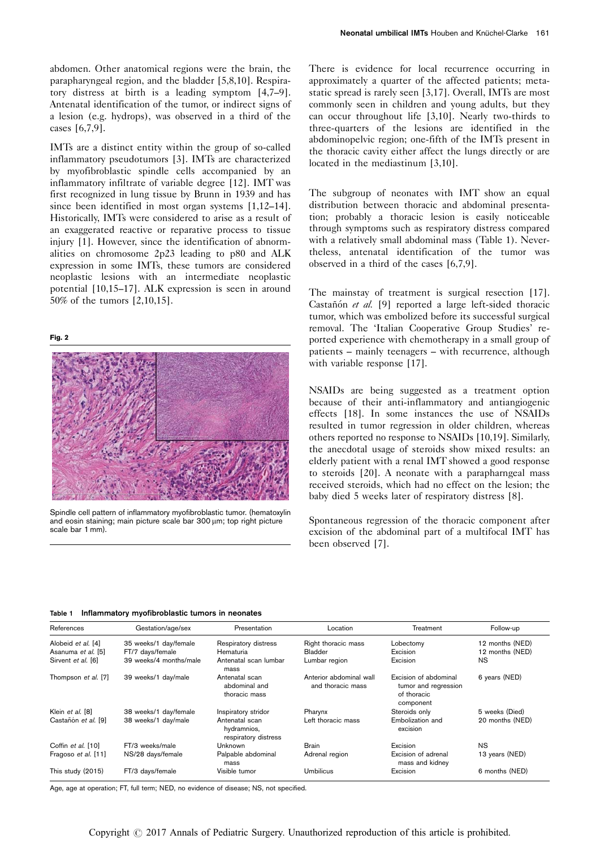<span id="page-1-0"></span>abdomen. Other anatomical regions were the brain, the parapharyngeal region, and the bladder [\[5,8,10\]](#page-2-0). Respiratory distress at birth is a leading symptom [\[4,7–9](#page-2-0)]. Antenatal identification of the tumor, or indirect signs of a lesion (e.g. hydrops), was observed in a third of the cases [\[6,7,9](#page-2-0)].

IMTs are a distinct entity within the group of so-called inflammatory pseudotumors [\[3](#page-2-0)]. IMTs are characterized by myofibroblastic spindle cells accompanied by an inflammatory infiltrate of variable degree [\[12](#page-2-0)]. IMT was first recognized in lung tissue by Brunn in 1939 and has since been identified in most organ systems [\[1,12–14](#page-2-0)]. Historically, IMTs were considered to arise as a result of an exaggerated reactive or reparative process to tissue injury [\[1](#page-2-0)]. However, since the identification of abnormalities on chromosome 2p23 leading to p80 and ALK expression in some IMTs, these tumors are considered neoplastic lesions with an intermediate neoplastic potential [\[10,15–17\]](#page-2-0). ALK expression is seen in around 50% of the tumors [\[2,10,15](#page-2-0)].

#### Fig. 2



Spindle cell pattern of inflammatory myofibroblastic tumor. (hematoxylin and eosin staining; main picture scale bar 300 µm; top right picture scale bar 1 mm).

There is evidence for local recurrence occurring in approximately a quarter of the affected patients; metastatic spread is rarely seen [\[3,17](#page-2-0)]. Overall, IMTs are most commonly seen in children and young adults, but they can occur throughout life [\[3,10\]](#page-2-0). Nearly two-thirds to three-quarters of the lesions are identified in the abdominopelvic region; one-fifth of the IMTs present in the thoracic cavity either affect the lungs directly or are located in the mediastinum [\[3,10](#page-2-0)].

The subgroup of neonates with IMT show an equal distribution between thoracic and abdominal presentation; probably a thoracic lesion is easily noticeable through symptoms such as respiratory distress compared with a relatively small abdominal mass (Table 1). Nevertheless, antenatal identification of the tumor was observed in a third of the cases [\[6,7,9\]](#page-2-0).

The mainstay of treatment is surgical resection [\[17](#page-2-0)]. Castañón et al.  $[9]$  $[9]$  reported a large left-sided thoracic tumor, which was embolized before its successful surgical removal. The 'Italian Cooperative Group Studies' reported experience with chemotherapy in a small group of patients – mainly teenagers – with recurrence, although with variable response [\[17\]](#page-2-0).

NSAIDs are being suggested as a treatment option because of their anti-inflammatory and antiangiogenic effects [\[18](#page-2-0)]. In some instances the use of NSAIDs resulted in tumor regression in older children, whereas others reported no response to NSAIDs [\[10,19\]](#page-2-0). Similarly, the anecdotal usage of steroids show mixed results: an elderly patient with a renal IMT showed a good response to steroids [\[20\]](#page-2-0). A neonate with a parapharngeal mass received steroids, which had no effect on the lesion; the baby died 5 weeks later of respiratory distress [\[8](#page-2-0)].

Spontaneous regression of the thoracic component after excision of the abdominal part of a multifocal IMT has been observed [\[7\]](#page-2-0).

Table 1 Inflammatory myofibroblastic tumors in neonates

| References          | Gestation/age/sex      | Presentation                                          | Location                                     | Treatment                                                                 | Follow-up       |
|---------------------|------------------------|-------------------------------------------------------|----------------------------------------------|---------------------------------------------------------------------------|-----------------|
| Alobeid et al. [4]  | 35 weeks/1 day/female  | Respiratory distress                                  | Right thoracic mass                          | Lobectomy                                                                 | 12 months (NED) |
| Asanuma et al. [5]  | FT/7 days/female       | Hematuria                                             | <b>Bladder</b>                               | Excision                                                                  | 12 months (NED) |
| Sirvent et al. [6]  | 39 weeks/4 months/male | Antenatal scan lumbar<br>mass                         | Lumbar region                                | Excision                                                                  | <b>NS</b>       |
| Thompson et al. [7] | 39 weeks/1 day/male    | Antenatal scan<br>abdominal and<br>thoracic mass      | Anterior abdominal wall<br>and thoracic mass | Excision of abdominal<br>tumor and regression<br>of thoracic<br>component | 6 years (NED)   |
| Klein et al. [8]    | 38 weeks/1 day/female  | Inspiratory stridor                                   | Pharynx                                      | Steroids only                                                             | 5 weeks (Died)  |
| Castañón et al. [9] | 38 weeks/1 day/male    | Antenatal scan<br>hydramnios,<br>respiratory distress | Left thoracic mass                           | Embolization and<br>excision                                              | 20 months (NED) |
| Coffin et al. [10]  | FT/3 weeks/male        | Unknown                                               | <b>Brain</b>                                 | Excision                                                                  | NS.             |
| Fragoso et al. [11] | NS/28 days/female      | Palpable abdominal<br>mass                            | Adrenal region                               | Excision of adrenal<br>mass and kidney                                    | 13 years (NED)  |
| This study (2015)   | FT/3 days/female       | Visible tumor                                         | Umbilicus                                    | Excision                                                                  | 6 months (NED)  |

Age, age at operation; FT, full term; NED, no evidence of disease; NS, not specified.